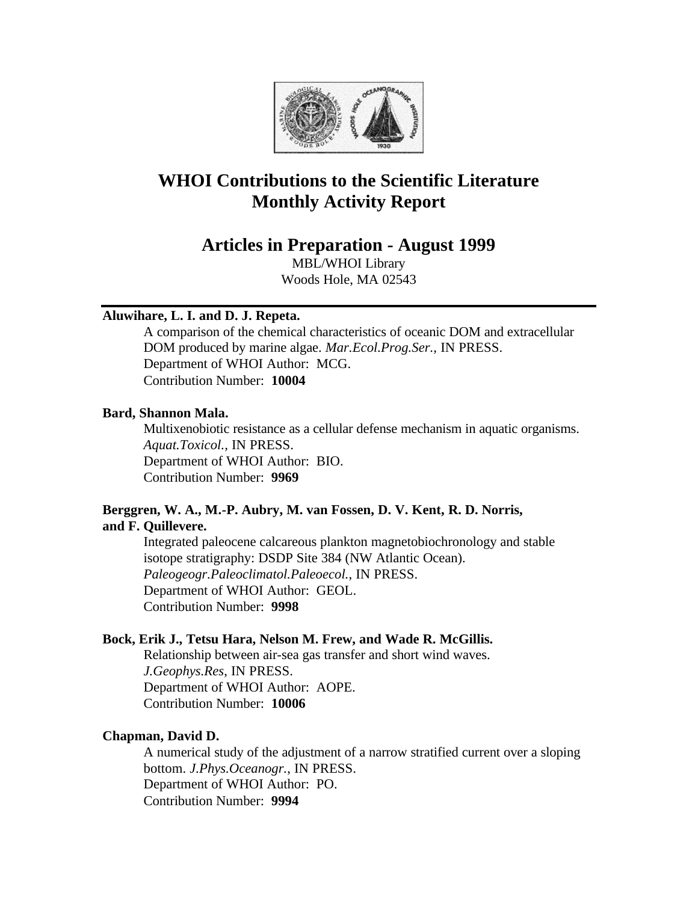

## **WHOI Contributions to the Scientific Literature Monthly Activity Report**

### **Articles in Preparation - August 1999**

MBL/WHOI Library Woods Hole, MA 02543

#### **Aluwihare, L. I. and D. J. Repeta.**

A comparison of the chemical characteristics of oceanic DOM and extracellular DOM produced by marine algae. *Mar.Ecol.Prog.Ser.*, IN PRESS. Department of WHOI Author: MCG. Contribution Number: **10004**

#### **Bard, Shannon Mala.**

Multixenobiotic resistance as a cellular defense mechanism in aquatic organisms. *Aquat.Toxicol.,* IN PRESS. Department of WHOI Author: BIO. Contribution Number: **9969**

#### **Berggren, W. A., M.-P. Aubry, M. van Fossen, D. V. Kent, R. D. Norris, and F. Quillevere.**

Integrated paleocene calcareous plankton magnetobiochronology and stable isotope stratigraphy: DSDP Site 384 (NW Atlantic Ocean). *Paleogeogr.Paleoclimatol.Paleoecol.*, IN PRESS. Department of WHOI Author: GEOL. Contribution Number: **9998**

#### **Bock, Erik J., Tetsu Hara, Nelson M. Frew, and Wade R. McGillis.**

Relationship between air-sea gas transfer and short wind waves. *J.Geophys.Res*, IN PRESS. Department of WHOI Author: AOPE. Contribution Number: **10006**

#### **Chapman, David D.**

A numerical study of the adjustment of a narrow stratified current over a sloping bottom. *J.Phys.Oceanogr.*, IN PRESS. Department of WHOI Author: PO. Contribution Number: **9994**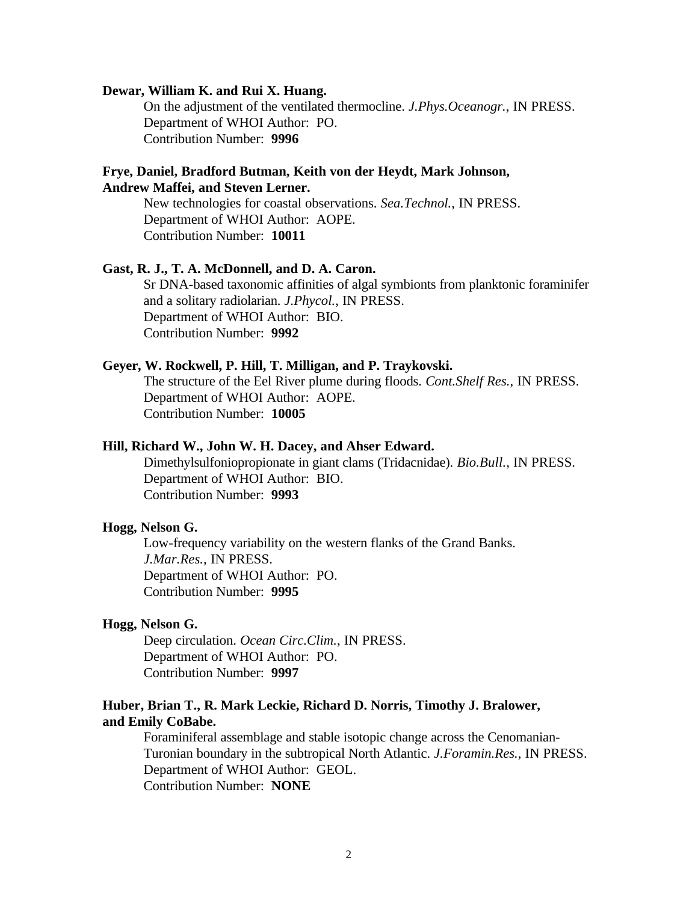#### **Dewar, William K. and Rui X. Huang.**

On the adjustment of the ventilated thermocline. *J.Phys.Oceanogr.*, IN PRESS. Department of WHOI Author: PO. Contribution Number: **9996**

#### **Frye, Daniel, Bradford Butman, Keith von der Heydt, Mark Johnson, Andrew Maffei, and Steven Lerner.**

New technologies for coastal observations. *Sea.Technol.*, IN PRESS. Department of WHOI Author: AOPE. Contribution Number: **10011**

#### **Gast, R. J., T. A. McDonnell, and D. A. Caron.**

Sr DNA-based taxonomic affinities of algal symbionts from planktonic foraminifer and a solitary radiolarian. *J.Phycol.*, IN PRESS. Department of WHOI Author: BIO. Contribution Number: **9992**

#### **Geyer, W. Rockwell, P. Hill, T. Milligan, and P. Traykovski.**

The structure of the Eel River plume during floods. *Cont.Shelf Res.*, IN PRESS. Department of WHOI Author: AOPE. Contribution Number: **10005**

#### **Hill, Richard W., John W. H. Dacey, and Ahser Edward.**

Dimethylsulfoniopropionate in giant clams (Tridacnidae). *Bio.Bull.*, IN PRESS. Department of WHOI Author: BIO. Contribution Number: **9993**

#### **Hogg, Nelson G.**

Low-frequency variability on the western flanks of the Grand Banks. *J.Mar.Res.*, IN PRESS. Department of WHOI Author: PO. Contribution Number: **9995**

#### **Hogg, Nelson G.**

Deep circulation. *Ocean Circ.Clim.*, IN PRESS. Department of WHOI Author: PO. Contribution Number: **9997**

#### **Huber, Brian T., R. Mark Leckie, Richard D. Norris, Timothy J. Bralower, and Emily CoBabe.**

Foraminiferal assemblage and stable isotopic change across the Cenomanian-Turonian boundary in the subtropical North Atlantic. *J.Foramin.Res.*, IN PRESS. Department of WHOI Author: GEOL. Contribution Number: **NONE**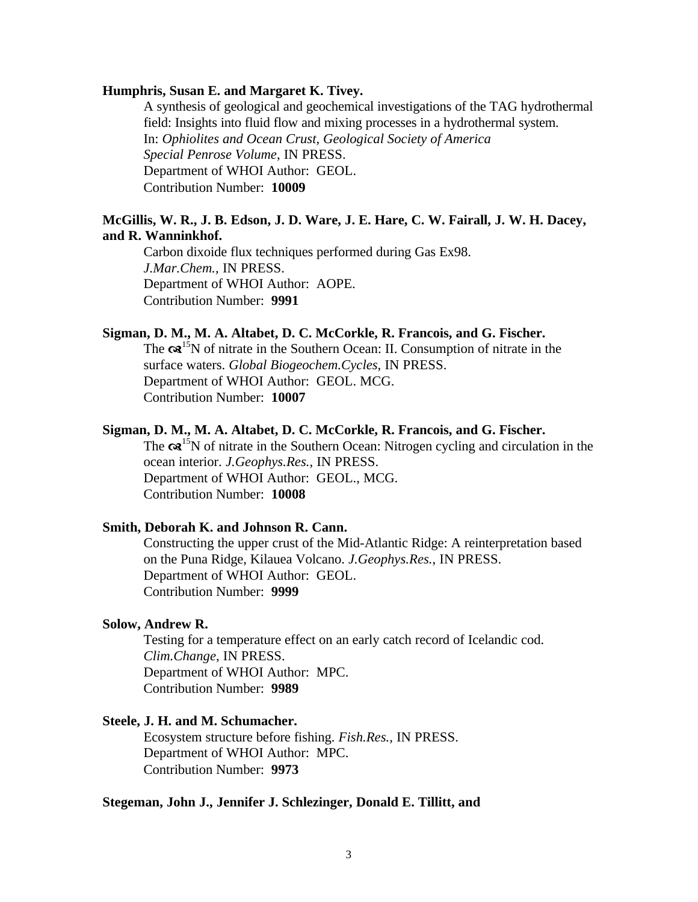#### **Humphris, Susan E. and Margaret K. Tivey.**

A synthesis of geological and geochemical investigations of the TAG hydrothermal field: Insights into fluid flow and mixing processes in a hydrothermal system. In: *Ophiolites and Ocean Crust, Geological Society of America Special Penrose Volume*, IN PRESS. Department of WHOI Author: GEOL. Contribution Number: **10009**

#### **McGillis, W. R., J. B. Edson, J. D. Ware, J. E. Hare, C. W. Fairall, J. W. H. Dacey, and R. Wanninkhof.**

Carbon dixoide flux techniques performed during Gas Ex98. *J.Mar.Chem.*, IN PRESS. Department of WHOI Author: AOPE. Contribution Number: **9991**

#### **Sigman, D. M., M. A. Altabet, D. C. McCorkle, R. Francois, and G. Fischer.**

The  $\alpha$ <sup>15</sup>N of nitrate in the Southern Ocean: II. Consumption of nitrate in the surface waters. *Global Biogeochem.Cycles*, IN PRESS. Department of WHOI Author: GEOL. MCG. Contribution Number: **10007**

#### **Sigman, D. M., M. A. Altabet, D. C. McCorkle, R. Francois, and G. Fischer.**

The  $\alpha$ <sup>15</sup>N of nitrate in the Southern Ocean: Nitrogen cycling and circulation in the ocean interior. *J.Geophys.Res.*, IN PRESS. Department of WHOI Author: GEOL., MCG. Contribution Number: **10008**

#### **Smith, Deborah K. and Johnson R. Cann.**

Constructing the upper crust of the Mid-Atlantic Ridge: A reinterpretation based on the Puna Ridge, Kilauea Volcano. *J.Geophys.Res.*, IN PRESS. Department of WHOI Author: GEOL. Contribution Number: **9999**

#### **Solow, Andrew R.**

Testing for a temperature effect on an early catch record of Icelandic cod. *Clim.Change*, IN PRESS. Department of WHOI Author: MPC. Contribution Number: **9989**

#### **Steele, J. H. and M. Schumacher.**

Ecosystem structure before fishing. *Fish.Res.*, IN PRESS. Department of WHOI Author: MPC. Contribution Number: **9973**

#### **Stegeman, John J., Jennifer J. Schlezinger, Donald E. Tillitt, and**